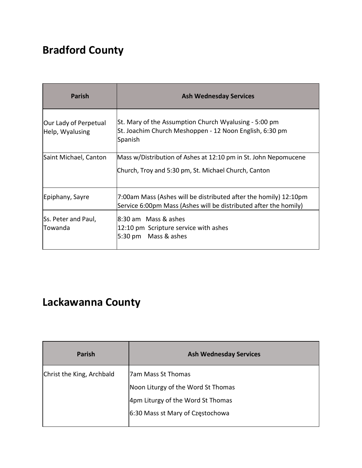# **Bradford County**

| <b>Parish</b>                            | <b>Ash Wednesday Services</b>                                                                                                        |
|------------------------------------------|--------------------------------------------------------------------------------------------------------------------------------------|
| Our Lady of Perpetual<br>Help, Wyalusing | St. Mary of the Assumption Church Wyalusing - 5:00 pm<br>St. Joachim Church Meshoppen - 12 Noon English, 6:30 pm<br>Spanish          |
| Saint Michael, Canton                    | Mass w/Distribution of Ashes at 12:10 pm in St. John Nepomucene<br>Church, Troy and 5:30 pm, St. Michael Church, Canton              |
| Epiphany, Sayre                          | 7:00am Mass (Ashes will be distributed after the homily) 12:10pm<br>Service 6:00pm Mass (Ashes will be distributed after the homily) |
| Ss. Peter and Paul,<br>Towanda           | l8:30 am Mass & ashes<br>12:10 pm Scripture service with ashes<br>5:30 pm Mass & ashes                                               |

#### **Lackawanna County**

| <b>Parish</b>             | <b>Ash Wednesday Services</b>      |
|---------------------------|------------------------------------|
| Christ the King, Archbald | 7am Mass St Thomas                 |
|                           | Noon Liturgy of the Word St Thomas |
|                           | 4pm Liturgy of the Word St Thomas  |
|                           | 6:30 Mass st Mary of Częstochowa   |
|                           |                                    |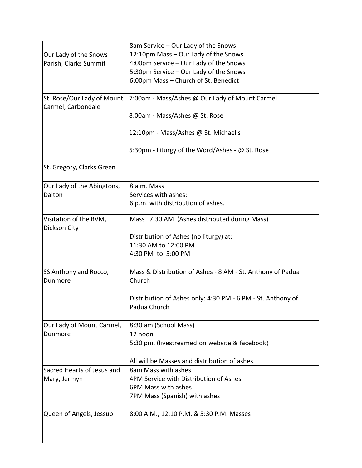|                                                  | 8am Service – Our Lady of the Snows                                         |
|--------------------------------------------------|-----------------------------------------------------------------------------|
| Our Lady of the Snows                            | 12:10pm Mass - Our Lady of the Snows                                        |
| Parish, Clarks Summit                            | 4:00pm Service - Our Lady of the Snows                                      |
|                                                  | 5:30pm Service - Our Lady of the Snows                                      |
|                                                  | 6:00pm Mass - Church of St. Benedict                                        |
| St. Rose/Our Lady of Mount<br>Carmel, Carbondale | 7:00am - Mass/Ashes @ Our Lady of Mount Carmel                              |
|                                                  | 8:00am - Mass/Ashes @ St. Rose                                              |
|                                                  | 12:10pm - Mass/Ashes @ St. Michael's                                        |
|                                                  | 5:30pm - Liturgy of the Word/Ashes - @ St. Rose                             |
| St. Gregory, Clarks Green                        |                                                                             |
| Our Lady of the Abingtons,                       | 8 a.m. Mass                                                                 |
| Dalton                                           | Services with ashes:                                                        |
|                                                  | 6 p.m. with distribution of ashes.                                          |
| Visitation of the BVM,<br>Dickson City           | Mass 7:30 AM (Ashes distributed during Mass)                                |
|                                                  | Distribution of Ashes (no liturgy) at:                                      |
|                                                  | 11:30 AM to 12:00 PM                                                        |
|                                                  | 4:30 PM to 5:00 PM                                                          |
| SS Anthony and Rocco,                            | Mass & Distribution of Ashes - 8 AM - St. Anthony of Padua                  |
| Dunmore                                          | Church                                                                      |
|                                                  | Distribution of Ashes only: 4:30 PM - 6 PM - St. Anthony of<br>Padua Church |
|                                                  |                                                                             |
| Our Lady of Mount Carmel,                        | 8:30 am (School Mass)                                                       |
| Dunmore                                          | 12 noon                                                                     |
|                                                  | 5:30 pm. (livestreamed on website & facebook)                               |
|                                                  | All will be Masses and distribution of ashes.                               |
| Sacred Hearts of Jesus and                       | 8am Mass with ashes                                                         |
| Mary, Jermyn                                     | 4PM Service with Distribution of Ashes                                      |
|                                                  | 6PM Mass with ashes                                                         |
|                                                  | 7PM Mass (Spanish) with ashes                                               |
| Queen of Angels, Jessup                          | 8:00 A.M., 12:10 P.M. & 5:30 P.M. Masses                                    |
|                                                  |                                                                             |
|                                                  |                                                                             |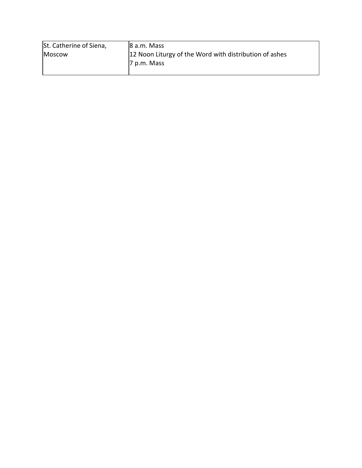| St. Catherine of Siena, | $ 8$ a.m. Mass                                         |
|-------------------------|--------------------------------------------------------|
| Moscow                  | 12 Noon Liturgy of the Word with distribution of ashes |
|                         | 7 p.m. Mass                                            |
|                         |                                                        |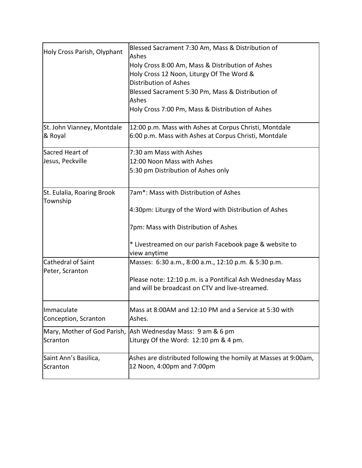| Holy Cross Parish, Olyphant                  | Blessed Sacrament 7:30 Am, Mass & Distribution of<br>Ashes      |
|----------------------------------------------|-----------------------------------------------------------------|
|                                              | Holy Cross 8:00 Am, Mass & Distribution of Ashes                |
|                                              | Holy Cross 12 Noon, Liturgy Of The Word &                       |
|                                              | <b>Distribution of Ashes</b>                                    |
|                                              | Blessed Sacrament 5:30 Pm, Mass & Distribution of               |
|                                              | Ashes                                                           |
|                                              | Holy Cross 7:00 Pm, Mass & Distribution of Ashes                |
| St. John Vianney, Montdale                   | 12:00 p.m. Mass with Ashes at Corpus Christi, Montdale          |
| & Royal                                      | 6:00 p.m. Mass with Ashes at Corpus Christi, Montdale           |
| Sacred Heart of                              | 7:30 am Mass with Ashes                                         |
| Jesus, Peckville                             | 12:00 Noon Mass with Ashes                                      |
|                                              | 5:30 pm Distribution of Ashes only                              |
| St. Eulalia, Roaring Brook                   | 7am*: Mass with Distribution of Ashes                           |
| Township                                     |                                                                 |
|                                              | 4:30pm: Liturgy of the Word with Distribution of Ashes          |
|                                              | 7pm: Mass with Distribution of Ashes                            |
|                                              | * Livestreamed on our parish Facebook page & website to         |
|                                              | view anytime                                                    |
| <b>Cathedral of Saint</b><br>Peter, Scranton | Masses: 6:30 a.m., 8:00 a.m., 12:10 p.m. & 5:30 p.m.            |
|                                              | Please note: 12:10 p.m. is a Pontifical Ash Wednesday Mass      |
|                                              | and will be broadcast on CTV and live-streamed.                 |
| Immaculate                                   | Mass at 8:00AM and 12:10 PM and a Service at 5:30 with          |
| Conception, Scranton                         | Ashes.                                                          |
| Mary, Mother of God Parish,                  | Ash Wednesday Mass: 9 am & 6 pm                                 |
| Scranton                                     | Liturgy Of the Word: 12:10 pm & 4 pm.                           |
| Saint Ann's Basilica,                        | Ashes are distributed following the homily at Masses at 9:00am, |
| Scranton                                     | 12 Noon, 4:00pm and 7:00pm                                      |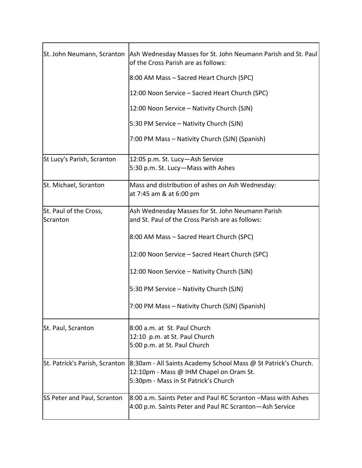|                                | St. John Neumann, Scranton   Ash Wednesday Masses for St. John Neumann Parish and St. Paul<br>of the Cross Parish are as follows: |
|--------------------------------|-----------------------------------------------------------------------------------------------------------------------------------|
|                                | 8:00 AM Mass - Sacred Heart Church (SPC)                                                                                          |
|                                | 12:00 Noon Service - Sacred Heart Church (SPC)                                                                                    |
|                                | 12:00 Noon Service - Nativity Church (SJN)                                                                                        |
|                                | 5:30 PM Service - Nativity Church (SJN)                                                                                           |
|                                | 7:00 PM Mass – Nativity Church (SJN) (Spanish)                                                                                    |
| St Lucy's Parish, Scranton     | 12:05 p.m. St. Lucy-Ash Service                                                                                                   |
|                                | 5:30 p.m. St. Lucy-Mass with Ashes                                                                                                |
| St. Michael, Scranton          | Mass and distribution of ashes on Ash Wednesday:                                                                                  |
|                                | at 7:45 am & at 6:00 pm                                                                                                           |
| St. Paul of the Cross,         | Ash Wednesday Masses for St. John Neumann Parish                                                                                  |
| Scranton                       | and St. Paul of the Cross Parish are as follows:                                                                                  |
|                                | 8:00 AM Mass - Sacred Heart Church (SPC)                                                                                          |
|                                | 12:00 Noon Service - Sacred Heart Church (SPC)                                                                                    |
|                                | 12:00 Noon Service - Nativity Church (SJN)                                                                                        |
|                                | 5:30 PM Service - Nativity Church (SJN)                                                                                           |
|                                | 7:00 PM Mass - Nativity Church (SJN) (Spanish)                                                                                    |
| St. Paul, Scranton             | 8:00 a.m. at St. Paul Church                                                                                                      |
|                                | 12:10 p.m. at St. Paul Church                                                                                                     |
|                                | 5:00 p.m. at St. Paul Church                                                                                                      |
| St. Patrick's Parish, Scranton | 8:30am - All Saints Academy School Mass @ St Patrick's Church.                                                                    |
|                                | 12:10pm - Mass @ IHM Chapel on Oram St.                                                                                           |
|                                | 5:30pm - Mass in St Patrick's Church                                                                                              |
| SS Peter and Paul, Scranton    | 8:00 a.m. Saints Peter and Paul RC Scranton -Mass with Ashes                                                                      |
|                                | 4:00 p.m. Saints Peter and Paul RC Scranton - Ash Service                                                                         |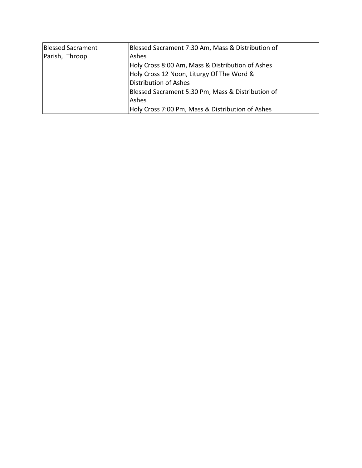| <b>Blessed Sacrament</b> | Blessed Sacrament 7:30 Am, Mass & Distribution of |
|--------------------------|---------------------------------------------------|
| Parish, Throop           | Ashes                                             |
|                          | Holy Cross 8:00 Am, Mass & Distribution of Ashes  |
|                          | Holy Cross 12 Noon, Liturgy Of The Word &         |
|                          | Distribution of Ashes                             |
|                          | Blessed Sacrament 5:30 Pm, Mass & Distribution of |
|                          | lAshes                                            |
|                          | Holy Cross 7:00 Pm, Mass & Distribution of Ashes  |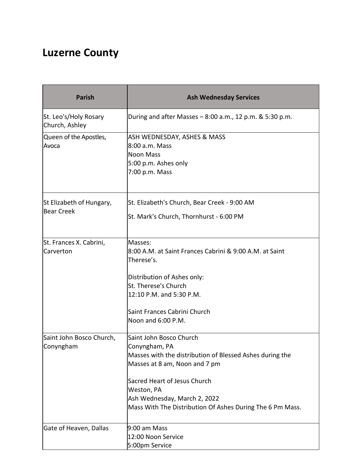#### **Luzerne County**

| <b>Parish</b>                                 | <b>Ash Wednesday Services</b>                                                                                                                                                                                                                                                    |
|-----------------------------------------------|----------------------------------------------------------------------------------------------------------------------------------------------------------------------------------------------------------------------------------------------------------------------------------|
| St. Leo's/Holy Rosary<br>Church, Ashley       | During and after Masses $-8:00$ a.m., 12 p.m. & 5:30 p.m.                                                                                                                                                                                                                        |
| Queen of the Apostles,<br>Avoca               | ASH WEDNESDAY, ASHES & MASS<br>8:00 a.m. Mass<br><b>Noon Mass</b><br>5:00 p.m. Ashes only<br>7:00 p.m. Mass                                                                                                                                                                      |
| St Elizabeth of Hungary,<br><b>Bear Creek</b> | St. Elizabeth's Church, Bear Creek - 9:00 AM<br>St. Mark's Church, Thornhurst - 6:00 PM                                                                                                                                                                                          |
| St. Frances X. Cabrini,<br>Carverton          | Masses:<br>8:00 A.M. at Saint Frances Cabrini & 9:00 A.M. at Saint<br>Therese's.<br>Distribution of Ashes only:<br>St. Therese's Church<br>12:10 P.M. and 5:30 P.M.<br>Saint Frances Cabrini Church<br>Noon and 6:00 P.M.                                                        |
| Saint John Bosco Church,<br>Conyngham         | Saint John Bosco Church<br>Conyngham, PA<br>Masses with the distribution of Blessed Ashes during the<br>Masses at 8 am, Noon and 7 pm<br>Sacred Heart of Jesus Church<br>Weston, PA<br>Ash Wednesday, March 2, 2022<br>Mass With The Distribution Of Ashes During The 6 Pm Mass. |
| Gate of Heaven, Dallas                        | 9:00 am Mass<br>12:00 Noon Service<br>5:00pm Service                                                                                                                                                                                                                             |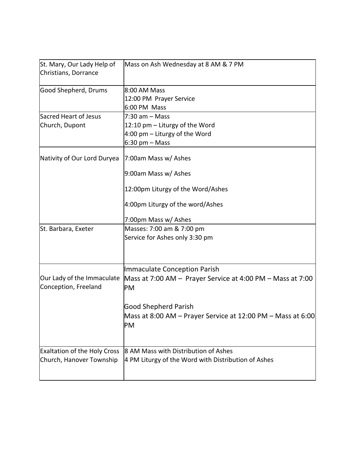| St. Mary, Our Lady Help of<br>Christians, Dorrance              | Mass on Ash Wednesday at 8 AM & 7 PM                                                                                                                                                                 |
|-----------------------------------------------------------------|------------------------------------------------------------------------------------------------------------------------------------------------------------------------------------------------------|
| Good Shepherd, Drums                                            | 8:00 AM Mass<br>12:00 PM Prayer Service<br>6:00 PM Mass                                                                                                                                              |
| Sacred Heart of Jesus<br>Church, Dupont                         | $7:30$ am $-$ Mass<br>12:10 pm - Liturgy of the Word<br>4:00 pm $-$ Liturgy of the Word<br>$6:30$ pm $-$ Mass                                                                                        |
| Nativity of Our Lord Duryea                                     | 7:00am Mass w/ Ashes<br>9:00am Mass w/ Ashes<br>12:00pm Liturgy of the Word/Ashes<br>4:00pm Liturgy of the word/Ashes                                                                                |
| St. Barbara, Exeter                                             | 7:00pm Mass w/ Ashes<br>Masses: 7:00 am & 7:00 pm<br>Service for Ashes only 3:30 pm                                                                                                                  |
| Our Lady of the Immaculate<br>Conception, Freeland              | Immaculate Conception Parish<br>Mass at 7:00 AM - Prayer Service at 4:00 PM - Mass at 7:00<br>PM<br><b>Good Shepherd Parish</b><br>Mass at 8:00 AM – Prayer Service at 12:00 PM – Mass at 6:00<br>PM |
| <b>Exaltation of the Holy Cross</b><br>Church, Hanover Township | 8 AM Mass with Distribution of Ashes<br>4 PM Liturgy of the Word with Distribution of Ashes                                                                                                          |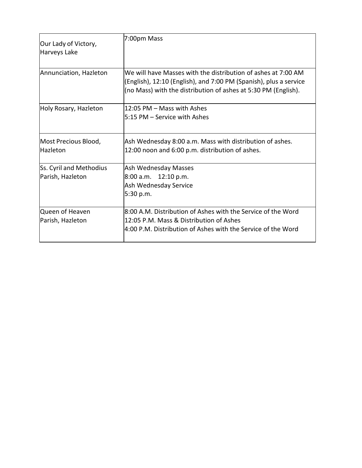| Our Lady of Victory,<br>Harveys Lake        | 7:00pm Mass                                                                                                                                                                                          |
|---------------------------------------------|------------------------------------------------------------------------------------------------------------------------------------------------------------------------------------------------------|
| Annunciation, Hazleton                      | We will have Masses with the distribution of ashes at 7:00 AM<br>(English), 12:10 (English), and 7:00 PM (Spanish), plus a service<br>(no Mass) with the distribution of ashes at 5:30 PM (English). |
| Holy Rosary, Hazleton                       | 12:05 PM – Mass with Ashes<br>5:15 PM – Service with Ashes                                                                                                                                           |
| Most Precious Blood,<br><b>Hazleton</b>     | Ash Wednesday 8:00 a.m. Mass with distribution of ashes.<br>12:00 noon and 6:00 p.m. distribution of ashes.                                                                                          |
| Ss. Cyril and Methodius<br>Parish, Hazleton | Ash Wednesday Masses<br>8:00 a.m. 12:10 p.m.<br>Ash Wednesday Service<br>5:30 p.m.                                                                                                                   |
| Queen of Heaven<br>Parish, Hazleton         | 8:00 A.M. Distribution of Ashes with the Service of the Word<br>12:05 P.M. Mass & Distribution of Ashes<br>4:00 P.M. Distribution of Ashes with the Service of the Word                              |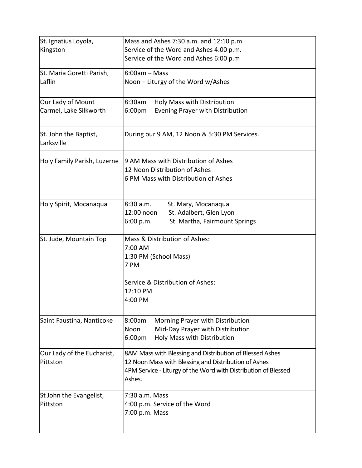| St. Ignatius Loyola,                | Mass and Ashes 7:30 a.m. and 12:10 p.m                                   |
|-------------------------------------|--------------------------------------------------------------------------|
| Kingston                            | Service of the Word and Ashes 4:00 p.m.                                  |
|                                     | Service of the Word and Ashes 6:00 p.m                                   |
| St. Maria Goretti Parish,           | 8:00am – Mass                                                            |
| Laflin                              | Noon - Liturgy of the Word w/Ashes                                       |
| Our Lady of Mount                   | 8:30am<br>Holy Mass with Distribution                                    |
| Carmel, Lake Silkworth              | 6:00pm<br>Evening Prayer with Distribution                               |
| St. John the Baptist,<br>Larksville | During our 9 AM, 12 Noon & 5:30 PM Services.                             |
| Holy Family Parish, Luzerne         | 9 AM Mass with Distribution of Ashes                                     |
|                                     | 12 Noon Distribution of Ashes                                            |
|                                     | 6 PM Mass with Distribution of Ashes                                     |
| Holy Spirit, Mocanaqua              | l8:30 a.m.<br>St. Mary, Mocanaqua                                        |
|                                     | 12:00 noon<br>St. Adalbert, Glen Lyon                                    |
|                                     | St. Martha, Fairmount Springs<br>6:00 p.m.                               |
| St. Jude, Mountain Top              | Mass & Distribution of Ashes:                                            |
|                                     | 7:00 AM<br>1:30 PM (School Mass)                                         |
|                                     | 7 PM                                                                     |
|                                     | Service & Distribution of Ashes:                                         |
|                                     | 12:10 PM                                                                 |
|                                     | 4:00 PM                                                                  |
| Saint Faustina, Nanticoke           | 8:00am<br>Morning Prayer with Distribution                               |
|                                     | Mid-Day Prayer with Distribution<br>Noon                                 |
|                                     | 6:00pm<br>Holy Mass with Distribution                                    |
| Our Lady of the Eucharist,          | 8AM Mass with Blessing and Distribution of Blessed Ashes                 |
| Pittston                            | 12 Noon Mass with Blessing and Distribution of Ashes                     |
|                                     | 4PM Service - Liturgy of the Word with Distribution of Blessed<br>Ashes. |
| St John the Evangelist,             | 7:30 a.m. Mass                                                           |
| Pittston                            | 4:00 p.m. Service of the Word                                            |
|                                     | 7:00 p.m. Mass                                                           |
|                                     |                                                                          |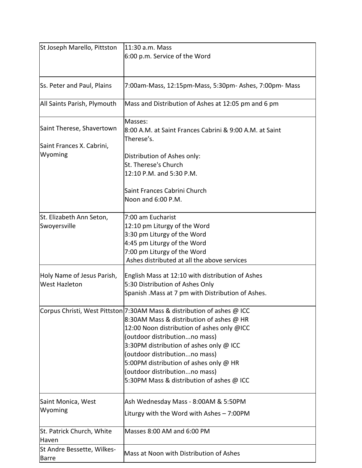| St Joseph Marello, Pittston                        | 11:30 a.m. Mass<br>6:00 p.m. Service of the Word                                                                                                                                                                                                                                                                                                                                                       |
|----------------------------------------------------|--------------------------------------------------------------------------------------------------------------------------------------------------------------------------------------------------------------------------------------------------------------------------------------------------------------------------------------------------------------------------------------------------------|
| Ss. Peter and Paul, Plains                         | 7:00am-Mass, 12:15pm-Mass, 5:30pm- Ashes, 7:00pm- Mass                                                                                                                                                                                                                                                                                                                                                 |
| All Saints Parish, Plymouth                        | Mass and Distribution of Ashes at 12:05 pm and 6 pm                                                                                                                                                                                                                                                                                                                                                    |
| Saint Therese, Shavertown                          | Masses:<br>8:00 A.M. at Saint Frances Cabrini & 9:00 A.M. at Saint<br>Therese's.                                                                                                                                                                                                                                                                                                                       |
| Saint Frances X. Cabrini,<br>Wyoming               | Distribution of Ashes only:<br>St. Therese's Church<br>12:10 P.M. and 5:30 P.M.                                                                                                                                                                                                                                                                                                                        |
|                                                    | Saint Frances Cabrini Church<br>Noon and 6:00 P.M.                                                                                                                                                                                                                                                                                                                                                     |
| St. Elizabeth Ann Seton,<br>Swoyersville           | 7:00 am Eucharist<br>12:10 pm Liturgy of the Word<br>3:30 pm Liturgy of the Word<br>4:45 pm Liturgy of the Word<br>7:00 pm Liturgy of the Word<br>Ashes distributed at all the above services                                                                                                                                                                                                          |
| Holy Name of Jesus Parish,<br><b>West Hazleton</b> | English Mass at 12:10 with distribution of Ashes<br>5:30 Distribution of Ashes Only<br>Spanish . Mass at 7 pm with Distribution of Ashes.                                                                                                                                                                                                                                                              |
|                                                    | Corpus Christi, West Pittston 7:30AM Mass & distribution of ashes @ ICC<br>8:30AM Mass & distribution of ashes @ HR<br>12:00 Noon distribution of ashes only @ICC<br>(outdoor distributionno mass)<br>3:30PM distribution of ashes only @ ICC<br>(outdoor distributionno mass)<br>5:00PM distribution of ashes only @ HR<br>(outdoor distributionno mass)<br>5:30PM Mass & distribution of ashes @ ICC |
| Saint Monica, West<br>Wyoming                      | Ash Wednesday Mass - 8:00AM & 5:50PM<br>Liturgy with the Word with Ashes $-7:00PM$                                                                                                                                                                                                                                                                                                                     |
| St. Patrick Church, White<br>Haven                 | Masses 8:00 AM and 6:00 PM                                                                                                                                                                                                                                                                                                                                                                             |
| St Andre Bessette, Wilkes-<br><b>Barre</b>         | Mass at Noon with Distribution of Ashes                                                                                                                                                                                                                                                                                                                                                                |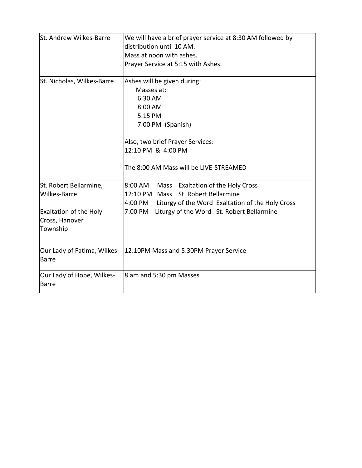| St. Andrew Wilkes-Barre                                                                               | We will have a brief prayer service at 8:30 AM followed by<br>distribution until 10 AM.<br>Mass at noon with ashes.<br>Prayer Service at 5:15 with Ashes.                                                            |  |  |
|-------------------------------------------------------------------------------------------------------|----------------------------------------------------------------------------------------------------------------------------------------------------------------------------------------------------------------------|--|--|
| St. Nicholas, Wilkes-Barre                                                                            | Ashes will be given during:<br>Masses at:<br>6:30 AM<br>8:00 AM<br>5:15 PM<br>7:00 PM (Spanish)<br>Also, two brief Prayer Services:<br>12:10 PM & 4:00 PM<br>The 8:00 AM Mass will be LIVE-STREAMED                  |  |  |
|                                                                                                       |                                                                                                                                                                                                                      |  |  |
| St. Robert Bellarmine,<br>Wilkes-Barre<br><b>Exaltation of the Holy</b><br>Cross, Hanover<br>Township | <b>Exaltation of the Holy Cross</b><br>8:00 AM<br>Mass<br>12:10 PM Mass St. Robert Bellarmine<br>4:00 PM<br>Liturgy of the Word Exaltation of the Holy Cross<br>7:00 PM<br>Liturgy of the Word St. Robert Bellarmine |  |  |
|                                                                                                       |                                                                                                                                                                                                                      |  |  |
| Our Lady of Fatima, Wilkes-<br><b>Barre</b>                                                           | 12:10PM Mass and 5:30PM Prayer Service                                                                                                                                                                               |  |  |
| Our Lady of Hope, Wilkes-<br>Barre                                                                    | 8 am and 5:30 pm Masses                                                                                                                                                                                              |  |  |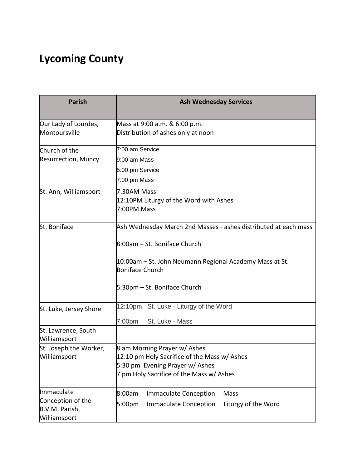# **Lycoming County**

| <b>Parish</b>                                                     | <b>Ash Wednesday Services</b>                                                                                                                                                                                        |  |  |  |
|-------------------------------------------------------------------|----------------------------------------------------------------------------------------------------------------------------------------------------------------------------------------------------------------------|--|--|--|
| Our Lady of Lourdes,<br>Montoursville                             | Mass at 9:00 a.m. & 6:00 p.m.<br>Distribution of ashes only at noon                                                                                                                                                  |  |  |  |
| Church of the<br>Resurrection, Muncy                              | 7:00 am Service<br>9:00 am Mass<br>5:00 pm Service<br>7:00 pm Mass                                                                                                                                                   |  |  |  |
| St. Ann, Williamsport                                             | 7:30AM Mass<br>12:10PM Liturgy of the Word with Ashes<br>7:00PM Mass                                                                                                                                                 |  |  |  |
| St. Boniface                                                      | Ash Wednesday March 2nd Masses - ashes distributed at each mass<br>8:00am - St. Boniface Church<br>10:00am – St. John Neumann Regional Academy Mass at St.<br><b>Boniface Church</b><br>5:30pm - St. Boniface Church |  |  |  |
| St. Luke, Jersey Shore                                            | 12:10pm St. Luke - Liturgy of the Word<br>7:00pm<br>St. Luke - Mass                                                                                                                                                  |  |  |  |
| St. Lawrence, South<br>Williamsport                               |                                                                                                                                                                                                                      |  |  |  |
| St. Joseph the Worker,<br>Williamsport                            | 8 am Morning Prayer w/ Ashes<br>12:10 pm Holy Sacrifice of the Mass w/ Ashes<br>5:30 pm Evening Prayer w/ Ashes<br>7 pm Holy Sacrifice of the Mass w/ Ashes                                                          |  |  |  |
| Immaculate<br>Conception of the<br>B.V.M. Parish,<br>Williamsport | 8:00am<br><b>Immaculate Conception</b><br>Mass<br><b>Immaculate Conception</b><br>Liturgy of the Word<br>5:00pm                                                                                                      |  |  |  |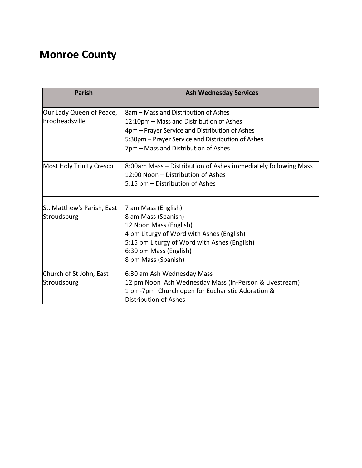# **Monroe County**

| <b>Parish</b>              | <b>Ash Wednesday Services</b>                                  |  |  |
|----------------------------|----------------------------------------------------------------|--|--|
| Our Lady Queen of Peace,   | <b>8am – Mass and Distribution of Ashes</b>                    |  |  |
| Brodheadsville             | 12:10pm – Mass and Distribution of Ashes                       |  |  |
|                            | 4pm – Prayer Service and Distribution of Ashes                 |  |  |
|                            | 5:30pm – Prayer Service and Distribution of Ashes              |  |  |
|                            | 7pm – Mass and Distribution of Ashes                           |  |  |
| Most Holy Trinity Cresco   | 8:00am Mass – Distribution of Ashes immediately following Mass |  |  |
|                            | 12:00 Noon - Distribution of Ashes                             |  |  |
|                            | $5:15$ pm – Distribution of Ashes                              |  |  |
| St. Matthew's Parish, East | 7 am Mass (English)                                            |  |  |
| Stroudsburg                | 8 am Mass (Spanish)                                            |  |  |
|                            | 12 Noon Mass (English)                                         |  |  |
|                            | 4 pm Liturgy of Word with Ashes (English)                      |  |  |
|                            | 5:15 pm Liturgy of Word with Ashes (English)                   |  |  |
|                            | 6:30 pm Mass (English)                                         |  |  |
|                            | 8 pm Mass (Spanish)                                            |  |  |
| Church of St John, East    | 6:30 am Ash Wednesday Mass                                     |  |  |
| Stroudsburg                | 12 pm Noon Ash Wednesday Mass (In-Person & Livestream)         |  |  |
|                            | 1 pm-7pm Church open for Eucharistic Adoration &               |  |  |
|                            | Distribution of Ashes                                          |  |  |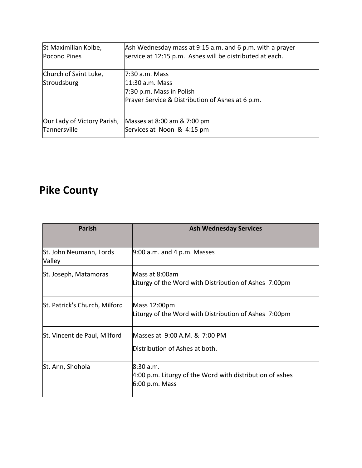| St Maximilian Kolbe,                 | Ash Wednesday mass at 9:15 a.m. and 6 p.m. with a prayer                                                           |
|--------------------------------------|--------------------------------------------------------------------------------------------------------------------|
| Pocono Pines                         | service at 12:15 p.m. Ashes will be distributed at each.                                                           |
| Church of Saint Luke,<br>Stroudsburg | 17:30 a.m. Mass<br>11:30 a.m. Mass<br>7:30 p.m. Mass in Polish<br>Prayer Service & Distribution of Ashes at 6 p.m. |
| Our Lady of Victory Parish,          | Masses at 8:00 am & 7:00 pm                                                                                        |
| Tannersville                         | Services at Noon & 4:15 pm                                                                                         |

#### **Pike County**

| <b>Parish</b>                     | <b>Ash Wednesday Services</b>                                                          |  |  |  |
|-----------------------------------|----------------------------------------------------------------------------------------|--|--|--|
| St. John Neumann, Lords<br>Valley | $9:00$ a.m. and 4 p.m. Masses                                                          |  |  |  |
| St. Joseph, Matamoras             | Mass at 8:00am<br>Liturgy of the Word with Distribution of Ashes 7:00pm                |  |  |  |
| St. Patrick's Church, Milford     | Mass 12:00pm<br>Liturgy of the Word with Distribution of Ashes 7:00pm                  |  |  |  |
| St. Vincent de Paul, Milford      | Masses at 9:00 A.M. & 7:00 PM<br>Distribution of Ashes at both.                        |  |  |  |
| St. Ann, Shohola                  | 8:30a.m.<br>4:00 p.m. Liturgy of the Word with distribution of ashes<br>6:00 p.m. Mass |  |  |  |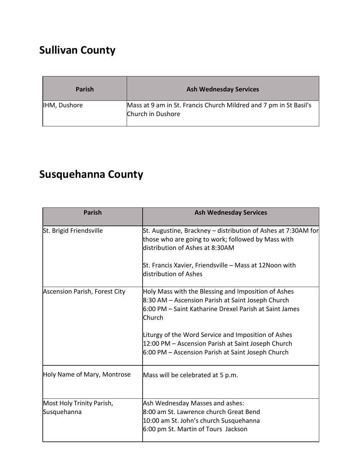# **Sullivan County**

| <b>Parish</b>       | <b>Ash Wednesday Services</b>                                                          |
|---------------------|----------------------------------------------------------------------------------------|
| <b>IHM, Dushore</b> | Mass at 9 am in St. Francis Church Mildred and 7 pm in St Basil's<br>Church in Dushore |

# **Susquehanna County**

| <b>Parish</b>                            | <b>Ash Wednesday Services</b>                                                                                                                                                |  |
|------------------------------------------|------------------------------------------------------------------------------------------------------------------------------------------------------------------------------|--|
| St. Brigid Friendsville                  | St. Augustine, Brackney – distribution of Ashes at 7:30AM for<br>those who are going to work; followed by Mass with<br>distribution of Ashes at 8:30AM                       |  |
|                                          | St. Francis Xavier, Friendsville – Mass at 12Noon with<br>distribution of Ashes                                                                                              |  |
| Ascension Parish, Forest City            | Holy Mass with the Blessing and Imposition of Ashes<br>8:30 AM - Ascension Parish at Saint Joseph Church<br>6:00 PM – Saint Katharine Drexel Parish at Saint James<br>Church |  |
|                                          | Liturgy of the Word Service and Imposition of Ashes<br>12:00 PM - Ascension Parish at Saint Joseph Church<br>6:00 PM - Ascension Parish at Saint Joseph Church               |  |
| Holy Name of Mary, Montrose              | Mass will be celebrated at 5 p.m.                                                                                                                                            |  |
| Most Holy Trinity Parish,<br>Susquehanna | Ash Wednesday Masses and ashes:<br>8:00 am St. Lawrence church Great Bend<br>10:00 am St. John's church Susquehanna<br>6:00 pm St. Martin of Tours Jackson                   |  |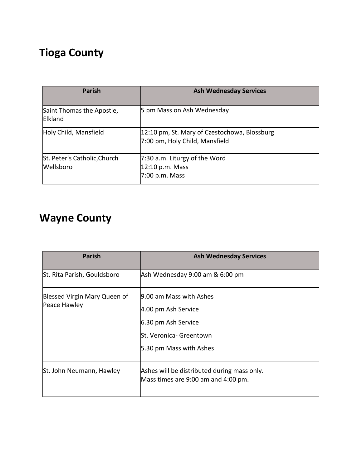#### **Tioga County**

| <b>Parish</b>                               | <b>Ash Wednesday Services</b>                                                  |  |
|---------------------------------------------|--------------------------------------------------------------------------------|--|
| Saint Thomas the Apostle,<br><b>Elkland</b> | 5 pm Mass on Ash Wednesday                                                     |  |
| Holy Child, Mansfield                       | 12:10 pm, St. Mary of Czestochowa, Blossburg<br>7:00 pm, Holy Child, Mansfield |  |
| St. Peter's Catholic, Church<br>Wellsboro   | 7:30 a.m. Liturgy of the Word<br>12:10 p.m. Mass<br>7:00 p.m. Mass             |  |

# **Wayne County**

| <b>Parish</b>                                | <b>Ash Wednesday Services</b>                                                                                               |  |
|----------------------------------------------|-----------------------------------------------------------------------------------------------------------------------------|--|
| St. Rita Parish, Gouldsboro                  | Ash Wednesday 9:00 am & 6:00 pm                                                                                             |  |
| Blessed Virgin Mary Queen of<br>Peace Hawley | 9.00 am Mass with Ashes<br>4.00 pm Ash Service<br>6.30 pm Ash Service<br>St. Veronica- Greentown<br>5.30 pm Mass with Ashes |  |
| St. John Neumann, Hawley                     | Ashes will be distributed during mass only.<br>Mass times are 9:00 am and 4:00 pm.                                          |  |